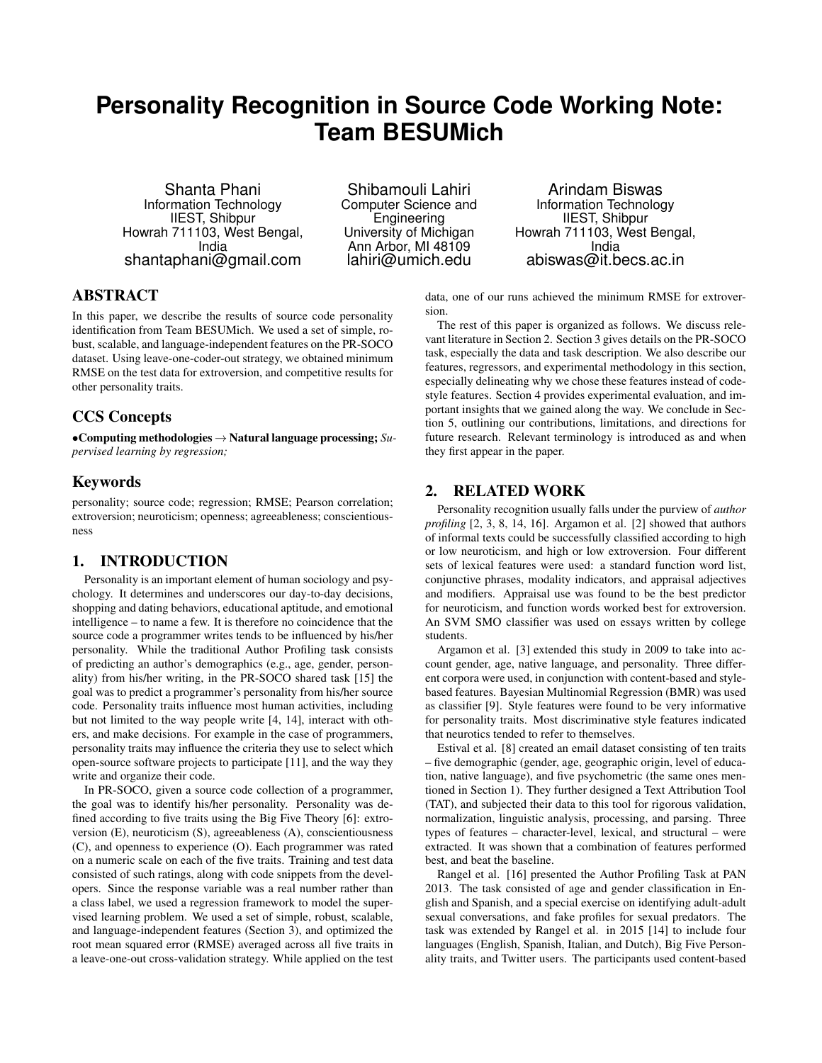# **Personality Recognition in Source Code Working Note: Team BESUMich**

Shanta Phani Information Technology IIEST, Shibpur Howrah 711103, West Bengal, India shantaphani@gmail.com

Shibamouli Lahiri Computer Science and Engineering University of Michigan Ann Arbor, MI 48109 lahiri@umich.edu

Arindam Biswas Information Technology IIEST, Shibpur Howrah 711103, West Bengal, India abiswas@it.becs.ac.in

# ABSTRACT

In this paper, we describe the results of source code personality identification from Team BESUMich. We used a set of simple, robust, scalable, and language-independent features on the PR-SOCO dataset. Using leave-one-coder-out strategy, we obtained minimum RMSE on the test data for extroversion, and competitive results for other personality traits.

#### CCS Concepts

•Computing methodologies → Natural language processing; *Supervised learning by regression;*

#### Keywords

personality; source code; regression; RMSE; Pearson correlation; extroversion; neuroticism; openness; agreeableness; conscientiousness

### 1. INTRODUCTION

Personality is an important element of human sociology and psychology. It determines and underscores our day-to-day decisions, shopping and dating behaviors, educational aptitude, and emotional intelligence – to name a few. It is therefore no coincidence that the source code a programmer writes tends to be influenced by his/her personality. While the traditional Author Profiling task consists of predicting an author's demographics (e.g., age, gender, personality) from his/her writing, in the PR-SOCO shared task [15] the goal was to predict a programmer's personality from his/her source code. Personality traits influence most human activities, including but not limited to the way people write [4, 14], interact with others, and make decisions. For example in the case of programmers, personality traits may influence the criteria they use to select which open-source software projects to participate [11], and the way they write and organize their code.

In PR-SOCO, given a source code collection of a programmer, the goal was to identify his/her personality. Personality was defined according to five traits using the Big Five Theory [6]: extroversion (E), neuroticism (S), agreeableness (A), conscientiousness (C), and openness to experience (O). Each programmer was rated on a numeric scale on each of the five traits. Training and test data consisted of such ratings, along with code snippets from the developers. Since the response variable was a real number rather than a class label, we used a regression framework to model the supervised learning problem. We used a set of simple, robust, scalable, and language-independent features (Section 3), and optimized the root mean squared error (RMSE) averaged across all five traits in a leave-one-out cross-validation strategy. While applied on the test

data, one of our runs achieved the minimum RMSE for extroversion.

The rest of this paper is organized as follows. We discuss relevant literature in Section 2. Section 3 gives details on the PR-SOCO task, especially the data and task description. We also describe our features, regressors, and experimental methodology in this section, especially delineating why we chose these features instead of codestyle features. Section 4 provides experimental evaluation, and important insights that we gained along the way. We conclude in Section 5, outlining our contributions, limitations, and directions for future research. Relevant terminology is introduced as and when they first appear in the paper.

#### 2. RELATED WORK

Personality recognition usually falls under the purview of *author profiling* [2, 3, 8, 14, 16]. Argamon et al. [2] showed that authors of informal texts could be successfully classified according to high or low neuroticism, and high or low extroversion. Four different sets of lexical features were used: a standard function word list, conjunctive phrases, modality indicators, and appraisal adjectives and modifiers. Appraisal use was found to be the best predictor for neuroticism, and function words worked best for extroversion. An SVM SMO classifier was used on essays written by college students.

Argamon et al. [3] extended this study in 2009 to take into account gender, age, native language, and personality. Three different corpora were used, in conjunction with content-based and stylebased features. Bayesian Multinomial Regression (BMR) was used as classifier [9]. Style features were found to be very informative for personality traits. Most discriminative style features indicated that neurotics tended to refer to themselves.

Estival et al. [8] created an email dataset consisting of ten traits – five demographic (gender, age, geographic origin, level of education, native language), and five psychometric (the same ones mentioned in Section 1). They further designed a Text Attribution Tool (TAT), and subjected their data to this tool for rigorous validation, normalization, linguistic analysis, processing, and parsing. Three types of features – character-level, lexical, and structural – were extracted. It was shown that a combination of features performed best, and beat the baseline.

Rangel et al. [16] presented the Author Profiling Task at PAN 2013. The task consisted of age and gender classification in English and Spanish, and a special exercise on identifying adult-adult sexual conversations, and fake profiles for sexual predators. The task was extended by Rangel et al. in 2015 [14] to include four languages (English, Spanish, Italian, and Dutch), Big Five Personality traits, and Twitter users. The participants used content-based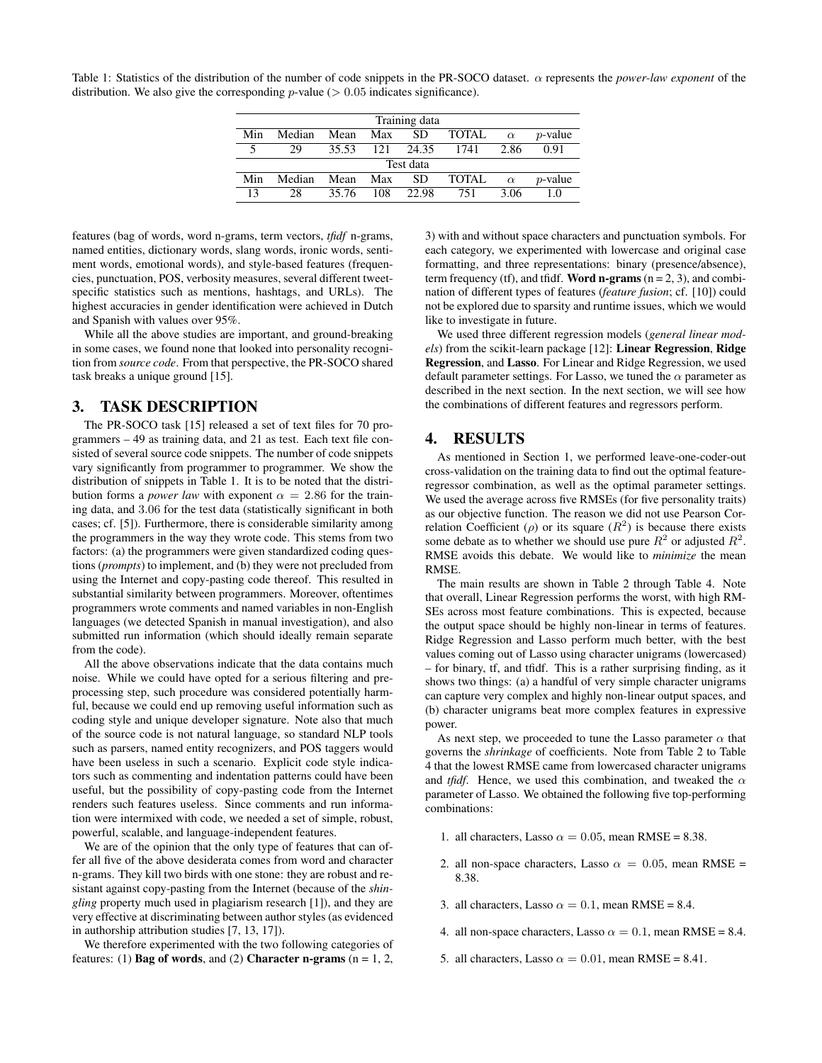Table 1: Statistics of the distribution of the number of code snippets in the PR-SOCO dataset. α represents the *power-law exponent* of the distribution. We also give the corresponding *p*-value ( $> 0.05$  indicates significance).

| Training data |        |       |     |       |       |          |                 |
|---------------|--------|-------|-----|-------|-------|----------|-----------------|
| Min           | Median | Mean  | Max | SD    | TOTAL | $\alpha$ | <i>p</i> -value |
|               | 29     | 35.53 | 121 | 24.35 | 1741  | 2.86     | O 91            |
| Test data     |        |       |     |       |       |          |                 |
| Min           | Median | Mean  | Max | SD    | TOTAL | $\alpha$ | $p$ -value      |
| 13            | 28     | 35.76 | 108 | 22.98 | 751   | 3.06     | - ( )           |

features (bag of words, word n-grams, term vectors, *tfidf* n-grams, named entities, dictionary words, slang words, ironic words, sentiment words, emotional words), and style-based features (frequencies, punctuation, POS, verbosity measures, several different tweetspecific statistics such as mentions, hashtags, and URLs). The highest accuracies in gender identification were achieved in Dutch and Spanish with values over 95%.

While all the above studies are important, and ground-breaking in some cases, we found none that looked into personality recognition from *source code*. From that perspective, the PR-SOCO shared task breaks a unique ground [15].

#### 3. TASK DESCRIPTION

The PR-SOCO task [15] released a set of text files for 70 programmers – 49 as training data, and 21 as test. Each text file consisted of several source code snippets. The number of code snippets vary significantly from programmer to programmer. We show the distribution of snippets in Table 1. It is to be noted that the distribution forms a *power law* with exponent  $\alpha = 2.86$  for the training data, and 3.06 for the test data (statistically significant in both cases; cf. [5]). Furthermore, there is considerable similarity among the programmers in the way they wrote code. This stems from two factors: (a) the programmers were given standardized coding questions (*prompts*) to implement, and (b) they were not precluded from using the Internet and copy-pasting code thereof. This resulted in substantial similarity between programmers. Moreover, oftentimes programmers wrote comments and named variables in non-English languages (we detected Spanish in manual investigation), and also submitted run information (which should ideally remain separate from the code).

All the above observations indicate that the data contains much noise. While we could have opted for a serious filtering and preprocessing step, such procedure was considered potentially harmful, because we could end up removing useful information such as coding style and unique developer signature. Note also that much of the source code is not natural language, so standard NLP tools such as parsers, named entity recognizers, and POS taggers would have been useless in such a scenario. Explicit code style indicators such as commenting and indentation patterns could have been useful, but the possibility of copy-pasting code from the Internet renders such features useless. Since comments and run information were intermixed with code, we needed a set of simple, robust, powerful, scalable, and language-independent features.

We are of the opinion that the only type of features that can offer all five of the above desiderata comes from word and character n-grams. They kill two birds with one stone: they are robust and resistant against copy-pasting from the Internet (because of the *shingling* property much used in plagiarism research [1]), and they are very effective at discriminating between author styles (as evidenced in authorship attribution studies [7, 13, 17]).

We therefore experimented with the two following categories of features: (1) **Bag of words**, and (2) **Character n-grams** ( $n = 1, 2$ , 3) with and without space characters and punctuation symbols. For each category, we experimented with lowercase and original case formatting, and three representations: binary (presence/absence), term frequency (tf), and tfidf. Word n-grams ( $n = 2, 3$ ), and combination of different types of features (*feature fusion*; cf. [10]) could not be explored due to sparsity and runtime issues, which we would like to investigate in future.

We used three different regression models (*general linear models*) from the scikit-learn package [12]: Linear Regression, Ridge Regression, and Lasso. For Linear and Ridge Regression, we used default parameter settings. For Lasso, we tuned the  $\alpha$  parameter as described in the next section. In the next section, we will see how the combinations of different features and regressors perform.

#### 4. RESULTS

As mentioned in Section 1, we performed leave-one-coder-out cross-validation on the training data to find out the optimal featureregressor combination, as well as the optimal parameter settings. We used the average across five RMSEs (for five personality traits) as our objective function. The reason we did not use Pearson Correlation Coefficient ( $\rho$ ) or its square  $(R^2)$  is because there exists some debate as to whether we should use pure  $R^2$  or adjusted  $R^2$ . RMSE avoids this debate. We would like to *minimize* the mean RMSE.

The main results are shown in Table 2 through Table 4. Note that overall, Linear Regression performs the worst, with high RM-SEs across most feature combinations. This is expected, because the output space should be highly non-linear in terms of features. Ridge Regression and Lasso perform much better, with the best values coming out of Lasso using character unigrams (lowercased) – for binary, tf, and tfidf. This is a rather surprising finding, as it shows two things: (a) a handful of very simple character unigrams can capture very complex and highly non-linear output spaces, and (b) character unigrams beat more complex features in expressive power.

As next step, we proceeded to tune the Lasso parameter  $\alpha$  that governs the *shrinkage* of coefficients. Note from Table 2 to Table 4 that the lowest RMSE came from lowercased character unigrams and *tfidf*. Hence, we used this combination, and tweaked the  $\alpha$ parameter of Lasso. We obtained the following five top-performing combinations:

- 1. all characters, Lasso  $\alpha = 0.05$ , mean RMSE = 8.38.
- 2. all non-space characters, Lasso  $\alpha = 0.05$ , mean RMSE = 8.38.
- 3. all characters, Lasso  $\alpha = 0.1$ , mean RMSE = 8.4.
- 4. all non-space characters, Lasso  $\alpha = 0.1$ , mean RMSE = 8.4.
- 5. all characters, Lasso  $\alpha = 0.01$ , mean RMSE = 8.41.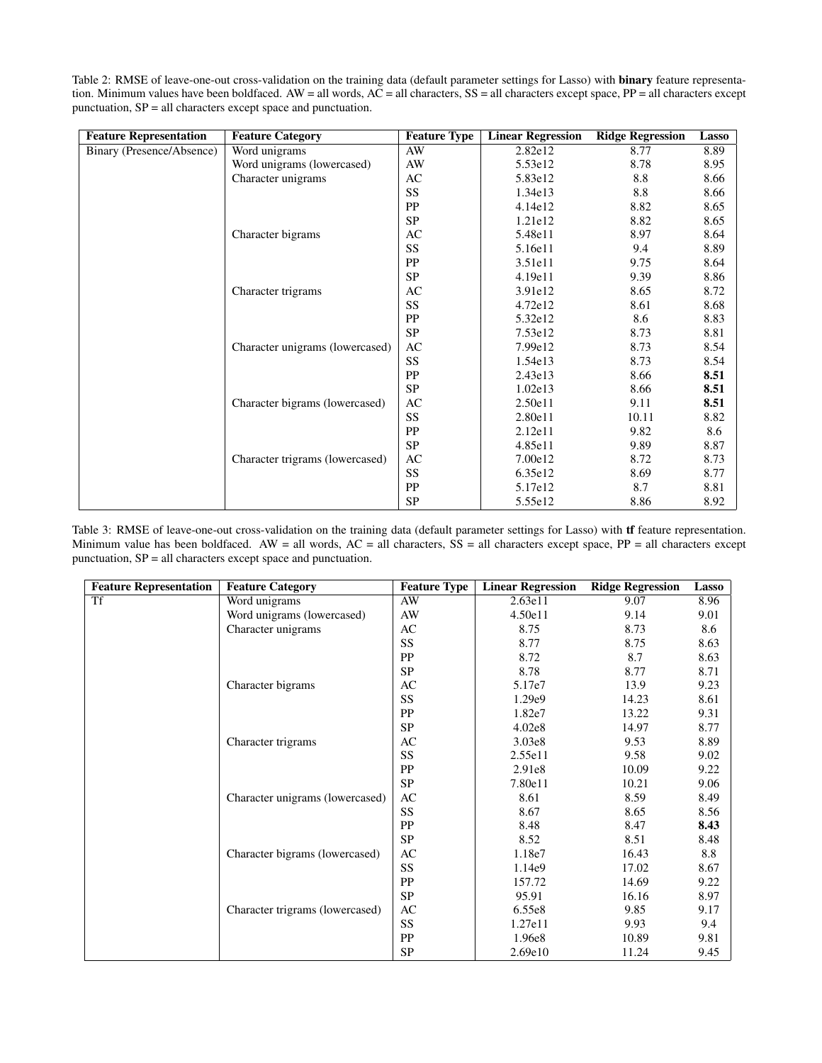Table 2: RMSE of leave-one-out cross-validation on the training data (default parameter settings for Lasso) with binary feature representation. Minimum values have been boldfaced. AW = all words, AC = all characters, SS = all characters except space, PP = all characters except punctuation, SP = all characters except space and punctuation.

| <b>Feature Representation</b> | <b>Feature Category</b>         | <b>Feature Type</b> | <b>Linear Regression</b> | <b>Ridge Regression</b> | Lasso |
|-------------------------------|---------------------------------|---------------------|--------------------------|-------------------------|-------|
| Binary (Presence/Absence)     | Word unigrams                   | AW                  | 2.82e12                  | 8.77                    | 8.89  |
|                               | Word unigrams (lowercased)      | AW                  | 5.53e12                  | 8.78                    | 8.95  |
|                               | Character unigrams              | AC                  | 5.83e12                  | 8.8                     | 8.66  |
|                               |                                 | SS                  | 1.34e13                  | 8.8                     | 8.66  |
|                               |                                 | PP                  | 4.14e12                  | 8.82                    | 8.65  |
|                               |                                 | <b>SP</b>           | 1.21e12                  | 8.82                    | 8.65  |
|                               | Character bigrams               | AC                  | 5.48e11                  | 8.97                    | 8.64  |
|                               |                                 | SS                  | 5.16e11                  | 9.4                     | 8.89  |
|                               |                                 | PP                  | 3.51e11                  | 9.75                    | 8.64  |
|                               |                                 | <b>SP</b>           | 4.19e11                  | 9.39                    | 8.86  |
|                               | Character trigrams              | AC                  | 3.91e12                  | 8.65                    | 8.72  |
|                               |                                 | SS                  | 4.72e12                  | 8.61                    | 8.68  |
|                               |                                 | PP                  | 5.32e12                  | 8.6                     | 8.83  |
|                               |                                 | <b>SP</b>           | 7.53e12                  | 8.73                    | 8.81  |
|                               | Character unigrams (lowercased) | AC                  | 7.99e12                  | 8.73                    | 8.54  |
|                               |                                 | SS                  | 1.54e13                  | 8.73                    | 8.54  |
|                               |                                 | PP                  | 2.43e13                  | 8.66                    | 8.51  |
|                               |                                 | <b>SP</b>           | 1.02e13                  | 8.66                    | 8.51  |
|                               | Character bigrams (lowercased)  | AC                  | 2.50e11                  | 9.11                    | 8.51  |
|                               |                                 | SS                  | 2.80e11                  | 10.11                   | 8.82  |
|                               |                                 | PP                  | 2.12e11                  | 9.82                    | 8.6   |
|                               |                                 | <b>SP</b>           | 4.85e11                  | 9.89                    | 8.87  |
|                               | Character trigrams (lowercased) | AC                  | 7.00e12                  | 8.72                    | 8.73  |
|                               |                                 | SS                  | 6.35e12                  | 8.69                    | 8.77  |
|                               |                                 | PP                  | 5.17e12                  | 8.7                     | 8.81  |
|                               |                                 | <b>SP</b>           | 5.55e12                  | 8.86                    | 8.92  |

Table 3: RMSE of leave-one-out cross-validation on the training data (default parameter settings for Lasso) with tf feature representation. Minimum value has been boldfaced. AW = all words,  $AC =$  all characters,  $SS =$  all characters except space,  $PP =$  all characters except punctuation, SP = all characters except space and punctuation.

| <b>Feature Representation</b> | <b>Feature Category</b>         | <b>Feature Type</b> | <b>Linear Regression</b> | <b>Ridge Regression</b> | Lasso |
|-------------------------------|---------------------------------|---------------------|--------------------------|-------------------------|-------|
| <b>Tf</b>                     | Word unigrams                   | AW                  | 2.63e11                  | 9.07                    | 8.96  |
|                               | Word unigrams (lowercased)      | AW                  | 4.50e11                  | 9.14                    | 9.01  |
|                               | Character unigrams              | AC                  | 8.75                     | 8.73                    | 8.6   |
|                               |                                 | SS                  | 8.77                     | 8.75                    | 8.63  |
|                               |                                 | PP                  | 8.72                     | 8.7                     | 8.63  |
|                               |                                 | <b>SP</b>           | 8.78                     | 8.77                    | 8.71  |
|                               | Character bigrams               | AC                  | 5.17e7                   | 13.9                    | 9.23  |
|                               |                                 | SS                  | 1.29e9                   | 14.23                   | 8.61  |
|                               |                                 | PP                  | 1.82e7                   | 13.22                   | 9.31  |
|                               |                                 | <b>SP</b>           | 4.02e8                   | 14.97                   | 8.77  |
|                               | Character trigrams              | AC                  | 3.03e8                   | 9.53                    | 8.89  |
|                               |                                 | SS                  | 2.55e11                  | 9.58                    | 9.02  |
|                               |                                 | PP                  | 2.91e8                   | 10.09                   | 9.22  |
|                               |                                 | <b>SP</b>           | 7.80e11                  | 10.21                   | 9.06  |
|                               | Character unigrams (lowercased) | AC                  | 8.61                     | 8.59                    | 8.49  |
|                               |                                 | SS                  | 8.67                     | 8.65                    | 8.56  |
|                               |                                 | PP                  | 8.48                     | 8.47                    | 8.43  |
|                               |                                 | <b>SP</b>           | 8.52                     | 8.51                    | 8.48  |
|                               | Character bigrams (lowercased)  | AC                  | 1.18e7                   | 16.43                   | 8.8   |
|                               |                                 | SS                  | 1.14e9                   | 17.02                   | 8.67  |
|                               |                                 | PP                  | 157.72                   | 14.69                   | 9.22  |
|                               |                                 | <b>SP</b>           | 95.91                    | 16.16                   | 8.97  |
|                               | Character trigrams (lowercased) | AC                  | 6.55e8                   | 9.85                    | 9.17  |
|                               |                                 | SS                  | 1.27e11                  | 9.93                    | 9.4   |
|                               |                                 | PP                  | 1.96e8                   | 10.89                   | 9.81  |
|                               |                                 | <b>SP</b>           | 2.69e10                  | 11.24                   | 9.45  |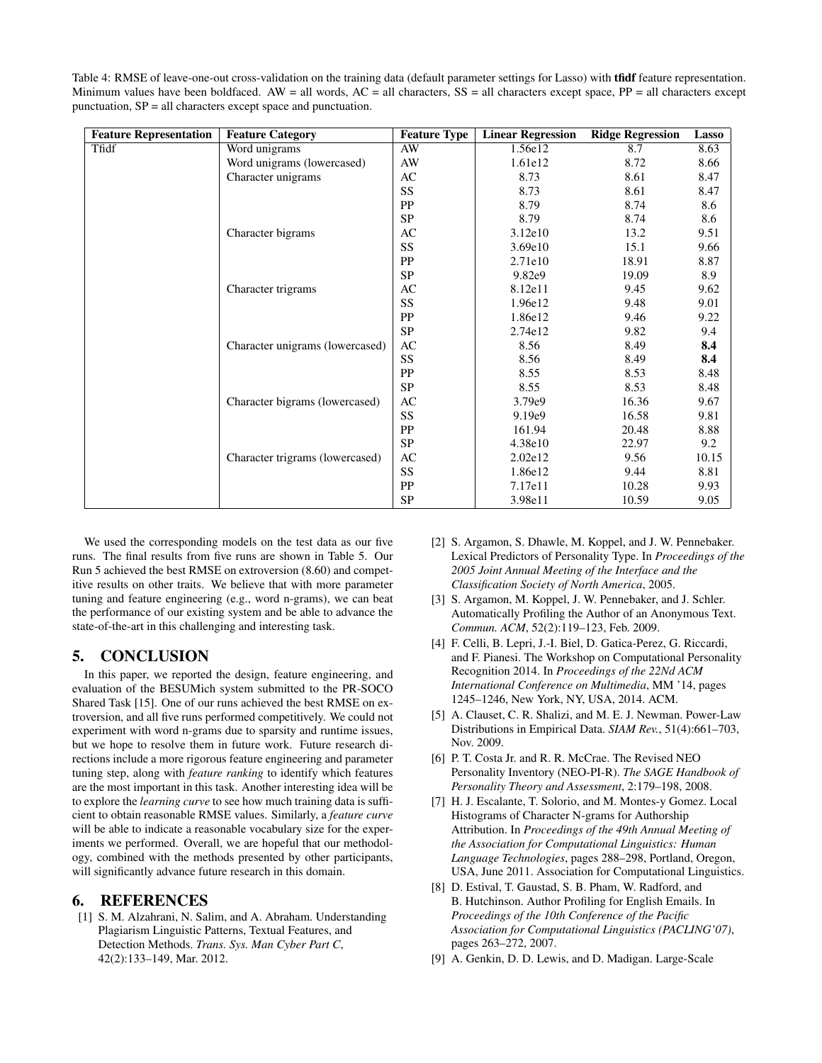Table 4: RMSE of leave-one-out cross-validation on the training data (default parameter settings for Lasso) with **tfidf** feature representation. Minimum values have been boldfaced.  $AW = all$  words,  $AC = all$  characters,  $SS = all$  characters except space,  $PP = all$  characters except punctuation, SP = all characters except space and punctuation.

| <b>Feature Representation</b> | <b>Feature Category</b>         |           | <b>Linear Regression</b> | <b>Ridge Regression</b> | Lasso |
|-------------------------------|---------------------------------|-----------|--------------------------|-------------------------|-------|
| Tfidf                         | Word unigrams                   | AW        | 1.56e12                  | 8.7                     | 8.63  |
|                               | Word unigrams (lowercased)      | AW        | 1.61e12                  | 8.72                    | 8.66  |
|                               | Character unigrams              | AC        | 8.73                     | 8.61                    | 8.47  |
|                               |                                 | SS        | 8.73                     | 8.61                    | 8.47  |
|                               |                                 | PP        | 8.79                     | 8.74                    | 8.6   |
|                               |                                 | <b>SP</b> | 8.79                     | 8.74                    | 8.6   |
|                               | Character bigrams               | AC        | 3.12e10                  | 13.2                    | 9.51  |
|                               |                                 | SS        | 3.69e10                  | 15.1                    | 9.66  |
|                               |                                 | PP        | 2.71e10                  | 18.91                   | 8.87  |
|                               |                                 | <b>SP</b> | 9.82e9                   | 19.09                   | 8.9   |
|                               | Character trigrams              | AC        | 8.12e11                  | 9.45                    | 9.62  |
|                               |                                 | SS        | 1.96e12                  | 9.48                    | 9.01  |
|                               |                                 | PP        | 1.86e12                  | 9.46                    | 9.22  |
|                               |                                 | <b>SP</b> | 2.74e12                  | 9.82                    | 9.4   |
|                               | Character unigrams (lowercased) | AC        | 8.56                     | 8.49                    | 8.4   |
|                               |                                 | SS        | 8.56                     | 8.49                    | 8.4   |
|                               |                                 | PP        | 8.55                     | 8.53                    | 8.48  |
|                               |                                 | <b>SP</b> | 8.55                     | 8.53                    | 8.48  |
|                               | Character bigrams (lowercased)  | AC        | 3.79e9                   | 16.36                   | 9.67  |
|                               |                                 | SS        | 9.19e9                   | 16.58                   | 9.81  |
|                               |                                 | PP        | 161.94                   | 20.48                   | 8.88  |
|                               |                                 | <b>SP</b> | 4.38e10                  | 22.97                   | 9.2   |
|                               | Character trigrams (lowercased) | AC        | 2.02e12                  | 9.56                    | 10.15 |
|                               |                                 | SS        | 1.86e12                  | 9.44                    | 8.81  |
|                               |                                 | PP        | 7.17e11                  | 10.28                   | 9.93  |
|                               |                                 | <b>SP</b> | 3.98e11                  | 10.59                   | 9.05  |

We used the corresponding models on the test data as our five runs. The final results from five runs are shown in Table 5. Our Run 5 achieved the best RMSE on extroversion (8.60) and competitive results on other traits. We believe that with more parameter tuning and feature engineering (e.g., word n-grams), we can beat the performance of our existing system and be able to advance the state-of-the-art in this challenging and interesting task.

# 5. CONCLUSION

In this paper, we reported the design, feature engineering, and evaluation of the BESUMich system submitted to the PR-SOCO Shared Task [15]. One of our runs achieved the best RMSE on extroversion, and all five runs performed competitively. We could not experiment with word n-grams due to sparsity and runtime issues, but we hope to resolve them in future work. Future research directions include a more rigorous feature engineering and parameter tuning step, along with *feature ranking* to identify which features are the most important in this task. Another interesting idea will be to explore the *learning curve* to see how much training data is sufficient to obtain reasonable RMSE values. Similarly, a *feature curve* will be able to indicate a reasonable vocabulary size for the experiments we performed. Overall, we are hopeful that our methodology, combined with the methods presented by other participants, will significantly advance future research in this domain.

# 6. REFERENCES

[1] S. M. Alzahrani, N. Salim, and A. Abraham. Understanding Plagiarism Linguistic Patterns, Textual Features, and Detection Methods. *Trans. Sys. Man Cyber Part C*, 42(2):133–149, Mar. 2012.

- [2] S. Argamon, S. Dhawle, M. Koppel, and J. W. Pennebaker. Lexical Predictors of Personality Type. In *Proceedings of the 2005 Joint Annual Meeting of the Interface and the Classification Society of North America*, 2005.
- [3] S. Argamon, M. Koppel, J. W. Pennebaker, and J. Schler. Automatically Profiling the Author of an Anonymous Text. *Commun. ACM*, 52(2):119–123, Feb. 2009.
- [4] F. Celli, B. Lepri, J.-I. Biel, D. Gatica-Perez, G. Riccardi, and F. Pianesi. The Workshop on Computational Personality Recognition 2014. In *Proceedings of the 22Nd ACM International Conference on Multimedia*, MM '14, pages 1245–1246, New York, NY, USA, 2014. ACM.
- [5] A. Clauset, C. R. Shalizi, and M. E. J. Newman. Power-Law Distributions in Empirical Data. *SIAM Rev.*, 51(4):661–703, Nov. 2009.
- [6] P. T. Costa Jr. and R. R. McCrae. The Revised NEO Personality Inventory (NEO-PI-R). *The SAGE Handbook of Personality Theory and Assessment*, 2:179–198, 2008.
- [7] H. J. Escalante, T. Solorio, and M. Montes-y Gomez. Local Histograms of Character N-grams for Authorship Attribution. In *Proceedings of the 49th Annual Meeting of the Association for Computational Linguistics: Human Language Technologies*, pages 288–298, Portland, Oregon, USA, June 2011. Association for Computational Linguistics.
- [8] D. Estival, T. Gaustad, S. B. Pham, W. Radford, and B. Hutchinson. Author Profiling for English Emails. In *Proceedings of the 10th Conference of the Pacific Association for Computational Linguistics (PACLING'07)*, pages 263–272, 2007.
- [9] A. Genkin, D. D. Lewis, and D. Madigan. Large-Scale